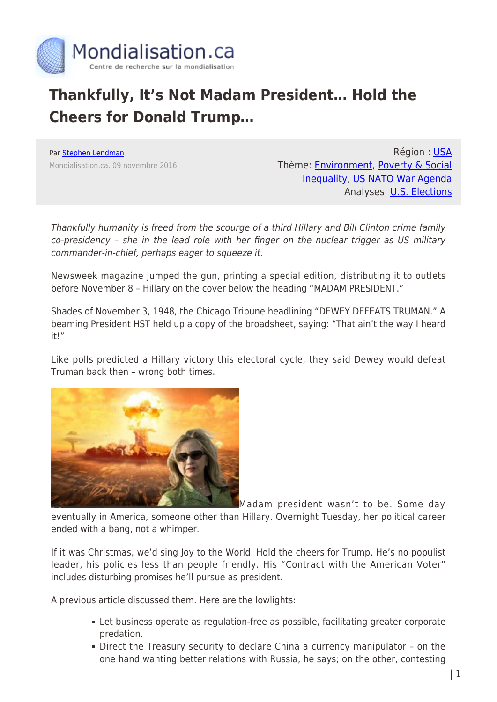

## **Thankfully, It's Not Madam President… Hold the Cheers for Donald Trump…**

Par [Stephen Lendman](https://www.mondialisation.ca/author/stephen-lendman) Mondialisation.ca, 09 novembre 2016

Région : [USA](https://www.mondialisation.ca/region/usa) Thème: [Environment](https://www.mondialisation.ca/theme/environment), [Poverty & Social](https://www.mondialisation.ca/theme/poverty-social-inequality) [Inequality](https://www.mondialisation.ca/theme/poverty-social-inequality), [US NATO War Agenda](https://www.mondialisation.ca/theme/us-nato-war-agenda) Analyses: **[U.S. Elections](https://www.mondialisation.ca/indepthreport/u-s-elections)** 

Thankfully humanity is freed from the scourge of a third Hillary and Bill Clinton crime family co-presidency – she in the lead role with her finger on the nuclear trigger as US military commander-in-chief, perhaps eager to squeeze it.

Newsweek magazine jumped the gun, printing a special edition, distributing it to outlets before November 8 – Hillary on the cover below the heading "MADAM PRESIDENT."

Shades of November 3, 1948, the Chicago Tribune headlining "DEWEY DEFEATS TRUMAN." A beaming President HST held up a copy of the broadsheet, saying: "That ain't the way I heard it!"

Like polls predicted a Hillary victory this electoral cycle, they said Dewey would defeat Truman back then – wrong both times.



Madam president wasn't to be. Some day eventually in America, someone other than Hillary. Overnight Tuesday, her political career ended with a bang, not a whimper.

If it was Christmas, we'd sing Joy to the World. Hold the cheers for Trump. He's no populist leader, his policies less than people friendly. His "Contract with the American Voter" includes disturbing promises he'll pursue as president.

A previous article discussed them. Here are the lowlights:

- Let business operate as regulation-free as possible, facilitating greater corporate predation.
- Direct the Treasury security to declare China a currency manipulator on the one hand wanting better relations with Russia, he says; on the other, contesting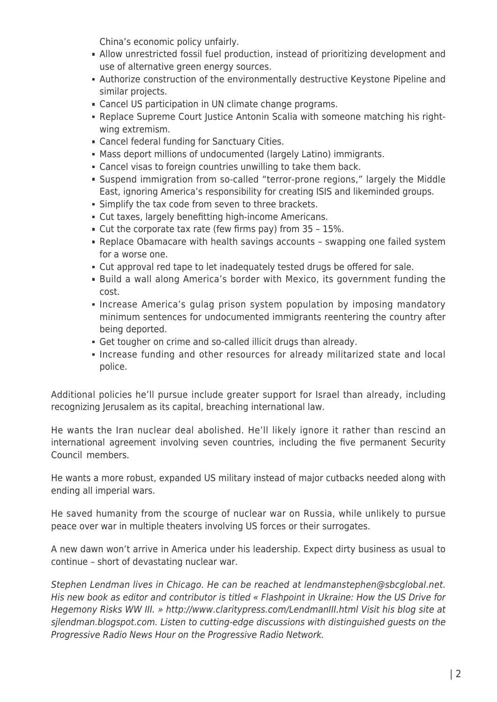China's economic policy unfairly.

- Allow unrestricted fossil fuel production, instead of prioritizing development and use of alternative green energy sources.
- Authorize construction of the environmentally destructive Keystone Pipeline and similar projects.
- Cancel US participation in UN climate change programs.
- Replace Supreme Court Justice Antonin Scalia with someone matching his rightwing extremism.
- Cancel federal funding for Sanctuary Cities.
- Mass deport millions of undocumented (largely Latino) immigrants.
- Cancel visas to foreign countries unwilling to take them back.
- Suspend immigration from so-called "terror-prone regions," largely the Middle East, ignoring America's responsibility for creating ISIS and likeminded groups.
- **Simplify the tax code from seven to three brackets.**
- Cut taxes, largely benefitting high-income Americans.
- Cut the corporate tax rate (few firms pay) from 35 15%.
- Replace Obamacare with health savings accounts swapping one failed system for a worse one.
- Cut approval red tape to let inadequately tested drugs be offered for sale.
- Build a wall along America's border with Mexico, its government funding the cost.
- **Increase America's gulag prison system population by imposing mandatory** minimum sentences for undocumented immigrants reentering the country after being deported.
- Get tougher on crime and so-called illicit drugs than already.
- Increase funding and other resources for already militarized state and local police.

Additional policies he'll pursue include greater support for Israel than already, including recognizing Jerusalem as its capital, breaching international law.

He wants the Iran nuclear deal abolished. He'll likely ignore it rather than rescind an international agreement involving seven countries, including the five permanent Security Council members.

He wants a more robust, expanded US military instead of major cutbacks needed along with ending all imperial wars.

He saved humanity from the scourge of nuclear war on Russia, while unlikely to pursue peace over war in multiple theaters involving US forces or their surrogates.

A new dawn won't arrive in America under his leadership. Expect dirty business as usual to continue – short of devastating nuclear war.

Stephen Lendman lives in Chicago. He can be reached at lendmanstephen@sbcglobal.net. His new book as editor and contributor is titled « Flashpoint in Ukraine: How the US Drive for Hegemony Risks WW III. » http://www.claritypress.com/LendmanIII.html Visit his blog site at sjlendman.blogspot.com. Listen to cutting-edge discussions with distinguished guests on the Progressive Radio News Hour on the Progressive Radio Network.